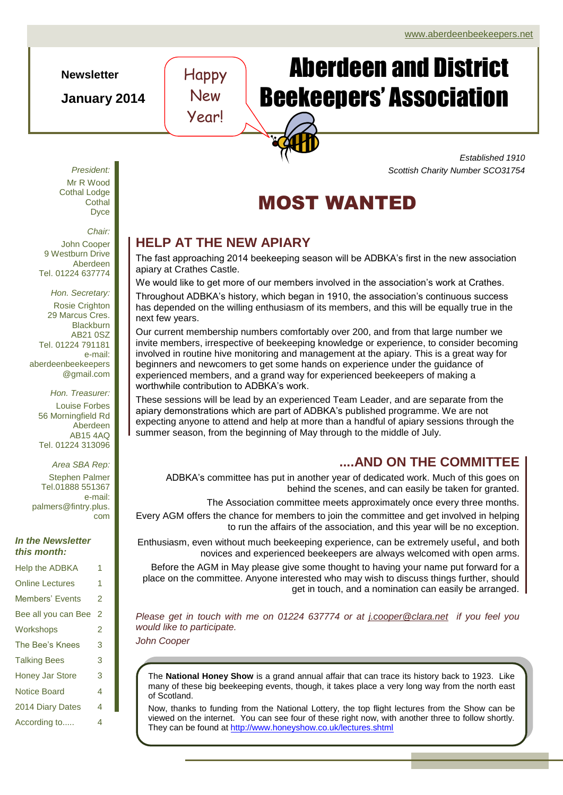**Newsletter**

**January 2014**

# Aberdeen and District Beekeepers' Association

*Established 1910 Scottish Charity Number SCO31754*



## **HELP AT THE NEW APIARY**

Happy

New

Year!

The fast approaching 2014 beekeeping season will be ADBKA's first in the new association apiary at Crathes Castle.

We would like to get more of our members involved in the association's work at Crathes. Throughout ADBKA's history, which began in 1910, the association's continuous success has depended on the willing enthusiasm of its members, and this will be equally true in the next few years.

Our current membership numbers comfortably over 200, and from that large number we invite members, irrespective of beekeeping knowledge or experience, to consider becoming involved in routine hive monitoring and management at the apiary. This is a great way for beginners and newcomers to get some hands on experience under the guidance of experienced members, and a grand way for experienced beekeepers of making a worthwhile contribution to ADBKA's work.

These sessions will be lead by an experienced Team Leader, and are separate from the apiary demonstrations which are part of ADBKA's published programme. We are not expecting anyone to attend and help at more than a handful of apiary sessions through the summer season, from the beginning of May through to the middle of July.

## **....AND ON THE COMMITTEE**

ADBKA's committee has put in another year of dedicated work. Much of this goes on behind the scenes, and can easily be taken for granted.

The Association committee meets approximately once every three months.

Every AGM offers the chance for members to join the committee and get involved in helping to run the affairs of the association, and this year will be no exception.

Enthusiasm, even without much beekeeping experience, can be extremely useful, and both novices and experienced beekeepers are always welcomed with open arms.

Before the AGM in May please give some thought to having your name put forward for a place on the committee. Anyone interested who may wish to discuss things further, should get in touch, and a nomination can easily be arranged.

*Please get in touch with me on 01224 637774 or at [j.cooper@clara.net](mailto:j.cooper@clara.net) if you feel you would like to participate.*

*John Cooper*

The **National Honey Show** is a grand annual affair that can trace its history back to 1923. Like many of these big beekeeping events, though, it takes place a very long way from the north east of Scotland.

Now, thanks to funding from the National Lottery, the top flight lectures from the Show can be viewed on the internet. You can see four of these right now, with another three to follow shortly. They can be found at<http://www.honeyshow.co.uk/lectures.shtml>

Mr R Wood Cothal Lodge **Cothal** Dyce

*President:*

*Chair:*

John Cooper 9 Westburn Drive Aberdeen Tel. 01224 637774

*Hon. Secretary:* Rosie Crighton 29 Marcus Cres. **Blackburn** AB21 0SZ Tel. 01224 791181 e-mail: aberdeenbeekeepers @gmail.com

*Hon. Treasurer:* Louise Forbes 56 Morningfield Rd Aberdeen AB15 4AQ Tel. 01224 313096

*Area SBA Rep:*

Stephen Palmer Tel.01888 551367 e-mail: palmers@fintry.plus. com

#### *In the Newsletter this month:*

| <b>Help the ADBKA</b>  | 1 |
|------------------------|---|
| <b>Online Lectures</b> | 1 |
| <b>Members' Events</b> | 2 |
| Bee all you can Bee    | 2 |
| Workshops              | 2 |
| The Bee's Knees        | 3 |
| <b>Talking Bees</b>    | 3 |
| <b>Honey Jar Store</b> | 3 |
| <b>Notice Board</b>    | 4 |
| 2014 Diary Dates       | 4 |
| According to           | 4 |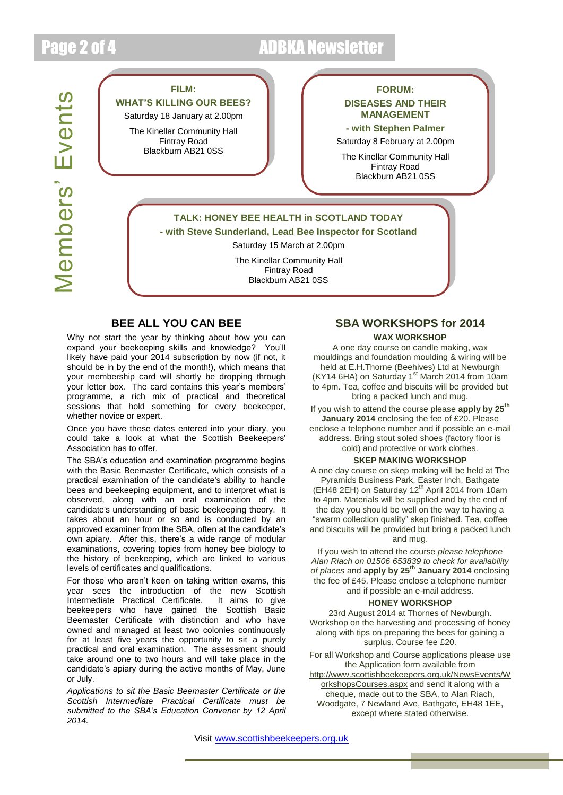## Page 2 of 4 ADBKA Newsletter

# **Members' Events** Members' Events

#### **FILM:**

**WHAT'S KILLING OUR BEES?**

Saturday 18 January at 2.00pm

The Kinellar Community Hall Fintray Road Blackburn AB21 0SS

#### **FORUM: DISEASES AND THEIR MANAGEMENT**

**- with Stephen Palmer** Saturday 8 February at 2.00pm

The Kinellar Community Hall Fintray Road Blackburn AB21 0SS

#### **TALK: HONEY BEE HEALTH in SCOTLAND TODAY - with Steve Sunderland, Lead Bee Inspector for Scotland**

Saturday 15 March at 2.00pm

The Kinellar Community Hall Fintray Road Blackburn AB21 0SS

#### **BEE ALL YOU CAN BEE**

Why not start the year by thinking about how you can expand your beekeeping skills and knowledge? You'll likely have paid your 2014 subscription by now (if not, it should be in by the end of the month!), which means that your membership card will shortly be dropping through your letter box. The card contains this year's members' programme, a rich mix of practical and theoretical sessions that hold something for every beekeeper, whether novice or expert.

Once you have these dates entered into your diary, you could take a look at what the Scottish Beekeepers' Association has to offer.

The SBA's education and examination programme begins with the Basic Beemaster Certificate, which consists of a practical examination of the candidate's ability to handle bees and beekeeping equipment, and to interpret what is observed, along with an oral examination of the candidate's understanding of basic beekeeping theory. It takes about an hour or so and is conducted by an approved examiner from the SBA, often at the candidate's own apiary. After this, there's a wide range of modular examinations, covering topics from honey bee biology to the history of beekeeping, which are linked to various levels of certificates and qualifications.

For those who aren't keen on taking written exams, this year sees the introduction of the new Scottish Intermediate Practical Certificate. It aims to give beekeepers who have gained the Scottish Basic Beemaster Certificate with distinction and who have owned and managed at least two colonies continuously for at least five years the opportunity to sit a purely practical and oral examination. The assessment should take around one to two hours and will take place in the candidate's apiary during the active months of May, June or July.

*Applications to sit the Basic Beemaster Certificate or the Scottish Intermediate Practical Certificate must be submitted to the SBA's Education Convener by 12 April 2014.*

## **SBA WORKSHOPS for 2014**

#### **WAX WORKSHOP**

A one day course on candle making, wax mouldings and foundation moulding & wiring will be held at E.H.Thorne (Beehives) Ltd at Newburgh (KY14 6HA) on Saturday  $1<sup>st</sup>$  March 2014 from 10am to 4pm. Tea, coffee and biscuits will be provided but bring a packed lunch and mug.

SAC If you wish to attend the course please **apply by 25th January 2014** enclosing the fee of £20. Please enclose a telephone number and if possible an e-mail address. Bring stout soled shoes (factory floor is cold) and protective or work clothes.

#### **SKEP MAKING WORKSHOP**

A one day course on skep making will be held at The Pyramids Business Park, Easter Inch, Bathgate (EH48 2EH) on Saturday 12<sup>th</sup> April 2014 from 10am to 4pm. Materials will be supplied and by the end of the day you should be well on the way to having a "swarm collection quality" skep finished. Tea, coffee and biscuits will be provided but bring a packed lunch and mug.

If you wish to attend the course *please telephone Alan Riach on 01506 653839 to check for availability of places* and **apply by 25th January 2014** enclosing the fee of £45. Please enclose a telephone number and if possible an e-mail address.

#### **HONEY WORKSHOP**

23rd August 2014 at Thornes of Newburgh. Workshop on the harvesting and processing of honey along with tips on preparing the bees for gaining a surplus. Course fee £20.

For all Workshop and Course applications please use the Application form available from

[http://www.scottishbeekeepers.org.uk/NewsEvents/W](http://www.scottishbeekeepers.org.uk/NewsEvents/WorkshopsCourses.aspx) [orkshopsCourses.aspx](http://www.scottishbeekeepers.org.uk/NewsEvents/WorkshopsCourses.aspx) and send it along with a cheque, made out to the SBA, to Alan Riach, Woodgate, 7 Newland Ave, Bathgate, EH48 1EE, except where stated otherwise.

Visit [www.scottishbeekeepers.org.uk](http://www.scottishbeekeepers.org.uk/)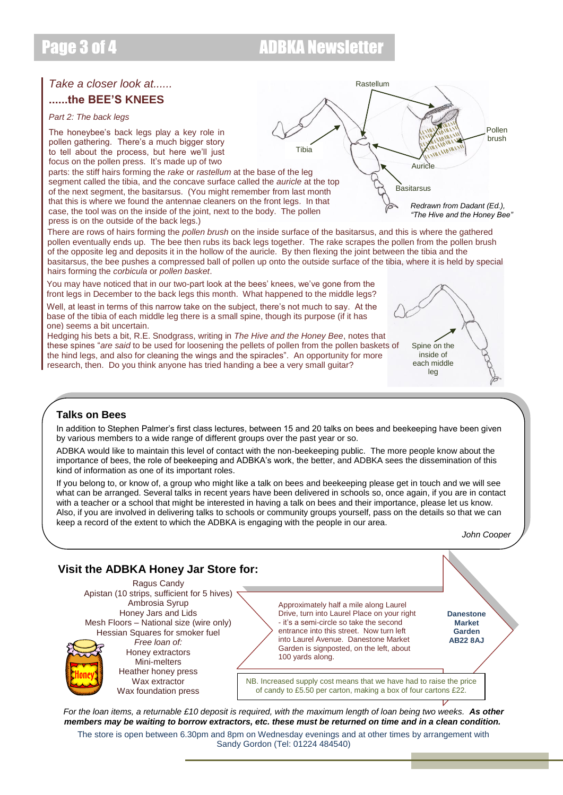## Page 3 of 4 ADBKA Newsletter

## *Take a closer look at......*

### **......the BEE'S KNEES**

#### *Part 2: The back legs*

The honeybee's back legs play a key role in pollen gathering. There's a much bigger story to tell about the process, but here we'll just focus on the pollen press. It's made up of two

parts: the stiff hairs forming the *rake* or *rastellum* at the base of the leg segment called the tibia, and the concave surface called the *auricle* at the top of the next segment, the basitarsus. (You might remember from last month that this is where we found the antennae cleaners on the front legs. In that case, the tool was on the inside of the joint, next to the body. The pollen press is on the outside of the back legs.)

There are rows of hairs forming the *pollen brush* on the inside surface of the basitarsus, and this is where the gathered pollen eventually ends up. The bee then rubs its back legs together. The rake scrapes the pollen from the pollen brush of the opposite leg and deposits it in the hollow of the auricle. By then flexing the joint between the tibia and the basitarsus, the bee pushes a compressed ball of pollen up onto the outside surface of the tibia, where it is held by special hairs forming the *corbicula* or *pollen basket*.

You may have noticed that in our two-part look at the bees' knees, we've gone from the front legs in December to the back legs this month. What happened to the middle legs?

Well, at least in terms of this narrow take on the subject, there's not much to say. At the base of the tibia of each middle leg there is a small spine, though its purpose (if it has one) seems a bit uncertain.

Hedging his bets a bit, R.E. Snodgrass, writing in *The Hive and the Honey Bee*, notes that these spines "*are said* to be used for loosening the pellets of pollen from the pollen baskets of the hind legs, and also for cleaning the wings and the spiracles". An opportunity for more research, then. Do you think anyone has tried handing a bee a very small guitar?

# Spine on the inside of each middle leg

#### **Talks on Bees**

In addition to Stephen Palmer's first class lectures, between 15 and 20 talks on bees and beekeeping have been given by various members to a wide range of different groups over the past year or so.

ADBKA would like to maintain this level of contact with the non-beekeeping public. The more people know about the importance of bees, the role of beekeeping and ADBKA's work, the better, and ADBKA sees the dissemination of this kind of information as one of its important roles.

If you belong to, or know of, a group who might like a talk on bees and beekeeping please get in touch and we will see what can be arranged. Several talks in recent years have been delivered in schools so, once again, if you are in contact with a teacher or a school that might be interested in having a talk on bees and their importance, please let us know. Also, if you are involved in delivering talks to schools or community groups yourself, pass on the details so that we can keep a record of the extent to which the ADBKA is engaging with the people in our area.

*John Cooper*



*For the loan items, a returnable £10 deposit is required, with the maximum length of loan being two weeks. As other members may be waiting to borrow extractors, etc. these must be returned on time and in a clean condition.* The store is open between 6.30pm and 8pm on Wednesday evenings and at other times by arrangement with

Sandy Gordon (Tel: 01224 484540)